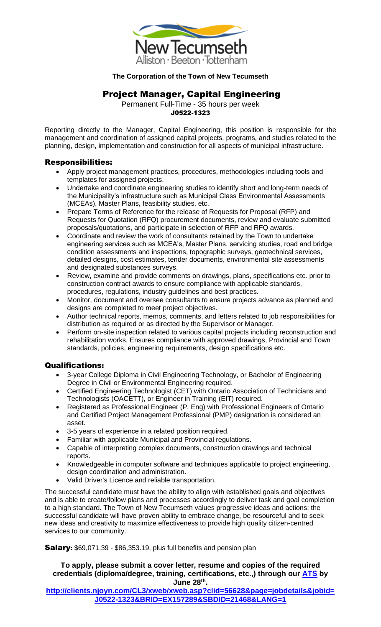

#### **The Corporation of the Town of New Tecumseth**

# Project Manager, Capital Engineering

Permanent Full-Time - 35 hours per week J0522-1323

Reporting directly to the Manager, Capital Engineering, this position is responsible for the management and coordination of assigned capital projects, programs, and studies related to the planning, design, implementation and construction for all aspects of municipal infrastructure.

## Responsibilities:

- Apply project management practices, procedures, methodologies including tools and templates for assigned projects.
- Undertake and coordinate engineering studies to identify short and long-term needs of the Municipality's infrastructure such as Municipal Class Environmental Assessments (MCEAs), Master Plans, feasibility studies, etc.
- Prepare Terms of Reference for the release of Requests for Proposal (RFP) and Requests for Quotation (RFQ) procurement documents, review and evaluate submitted proposals/quotations, and participate in selection of RFP and RFQ awards.
- Coordinate and review the work of consultants retained by the Town to undertake engineering services such as MCEA's, Master Plans, servicing studies, road and bridge condition assessments and inspections, topographic surveys, geotechnical services, detailed designs, cost estimates, tender documents, environmental site assessments and designated substances surveys.
- Review, examine and provide comments on drawings, plans, specifications etc. prior to construction contract awards to ensure compliance with applicable standards, procedures, regulations, industry guidelines and best practices.
- Monitor, document and oversee consultants to ensure projects advance as planned and designs are completed to meet project objectives.
- Author technical reports, memos, comments, and letters related to job responsibilities for distribution as required or as directed by the Supervisor or Manager.
- Perform on-site inspection related to various capital projects including reconstruction and rehabilitation works. Ensures compliance with approved drawings, Provincial and Town standards, policies, engineering requirements, design specifications etc.

### Qualifications:

- 3-year College Diploma in Civil Engineering Technology, or Bachelor of Engineering Degree in Civil or Environmental Engineering required.
- Certified Engineering Technologist (CET) with Ontario Association of Technicians and Technologists (OACETT), or Engineer in Training (EIT) required.
- Registered as Professional Engineer (P. Eng) with Professional Engineers of Ontario and Certified Project Management Professional (PMP) designation is considered an asset.
- 3-5 years of experience in a related position required.
- Familiar with applicable Municipal and Provincial regulations.
- Capable of interpreting complex documents, construction drawings and technical reports.
- Knowledgeable in computer software and techniques applicable to project engineering, design coordination and administration.
- Valid Driver's Licence and reliable transportation.

The successful candidate must have the ability to align with established goals and objectives and is able to create/follow plans and processes accordingly to deliver task and goal completion to a high standard. The Town of New Tecumseth values progressive ideas and actions; the successful candidate will have proven ability to embrace change, be resourceful and to seek new ideas and creativity to maximize effectiveness to provide high quality citizen-centred services to our community.

**Salary:** \$69,071.39 - \$86,353.19, plus full benefits and pension plan

#### **To apply, please submit a cover letter, resume and copies of the required credentials (diploma/degree, training, certifications, etc.,) through our [ATS](http://clients.njoyn.com/CL3/xweb/xweb.asp?clid=56628&page=jobdetails&jobid=J0522-1323&BRID=EX157289&SBDID=21468&LANG=1) by June 28th .**

**[http://clients.njoyn.com/CL3/xweb/xweb.asp?clid=56628&page=jobdetails&jobid=](http://clients.njoyn.com/CL3/xweb/xweb.asp?clid=56628&page=jobdetails&jobid=J0522-1323&BRID=EX157289&SBDID=21468&LANG=1) [J0522-1323&BRID=EX157289&SBDID=21468&LANG=1](http://clients.njoyn.com/CL3/xweb/xweb.asp?clid=56628&page=jobdetails&jobid=J0522-1323&BRID=EX157289&SBDID=21468&LANG=1)**